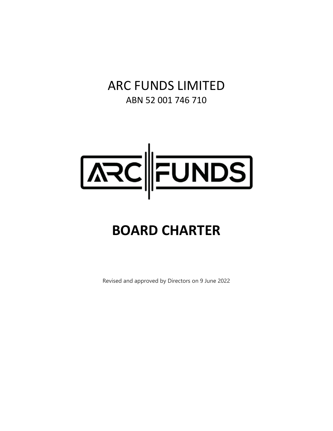# ARC FUNDS LIMITED ABN 52 001 746 710



# **BOARD CHARTER**

Revised and approved by Directors on 9 June 2022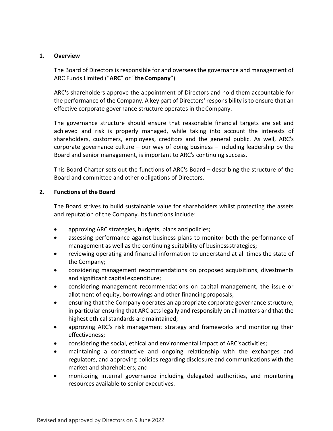# **1. Overview**

The Board of Directors is responsible for and oversees the governance and management of ARC Funds Limited ("**ARC**" or "**the Company**").

ARC's shareholders approve the appointment of Directors and hold them accountable for the performance of the Company. A key part of Directors' responsibility isto ensure that an effective corporate governance structure operates in theCompany.

The governance structure should ensure that reasonable financial targets are set and achieved and risk is properly managed, while taking into account the interests of shareholders, customers, employees, creditors and the general public. As well, ARC's corporate governance culture – our way of doing business – including leadership by the Board and senior management, is important to ARC's continuing success.

This Board Charter sets out the functions of ARC's Board – describing the structure of the Board and committee and other obligations of Directors.

# **2. Functions of the Board**

The Board strives to build sustainable value for shareholders whilst protecting the assets and reputation of the Company. Its functions include:

- approving ARC strategies, budgets, plans and policies;
- assessing performance against business plans to monitor both the performance of management as well as the continuing suitability of businessstrategies;
- reviewing operating and financial information to understand at all times the state of the Company;
- considering management recommendations on proposed acquisitions, divestments and significant capital expenditure;
- considering management recommendations on capital management, the issue or allotment of equity, borrowings and other financingproposals;
- ensuring that the Company operates an appropriate corporate governance structure, in particular ensuring that ARC acts legally and responsibly on all matters and that the highest ethical standards are maintained;
- approving ARC's risk management strategy and frameworks and monitoring their effectiveness;
- considering the social, ethical and environmental impact of ARC'sactivities;
- maintaining a constructive and ongoing relationship with the exchanges and regulators, and approving policies regarding disclosure and communications with the market and shareholders; and
- monitoring internal governance including delegated authorities, and monitoring resources available to senior executives.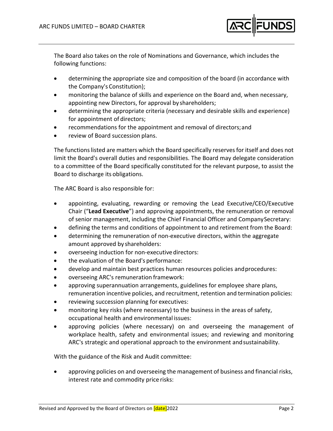

The Board also takes on the role of Nominations and Governance, which includes the following functions:

- determining the appropriate size and composition of the board (in accordance with the Company's Constitution);
- monitoring the balance of skills and experience on the Board and, when necessary, appointing new Directors, for approval by shareholders;
- determining the appropriate criteria (necessary and desirable skills and experience) for appointment of directors;
- recommendations for the appointment and removal of directors;and
- review of Board succession plans.

The functionslisted are matters which the Board specifically reservesfor itself and does not limit the Board's overall duties and responsibilities. The Board may delegate consideration to a committee of the Board specifically constituted for the relevant purpose, to assist the Board to discharge its obligations.

The ARC Board is also responsible for:

- appointing, evaluating, rewarding or removing the Lead Executive/CEO/Executive Chair ("**Lead Executive**") and approving appointments, the remuneration or removal of senior management, including the Chief Financial Officer and CompanySecretary:
- defining the terms and conditions of appointment to and retirement from the Board:
- determining the remuneration of non-executive directors, within the aggregate amount approved by shareholders:
- overseeing induction for non-executive directors:
- the evaluation of the Board's performance:
- develop and maintain best practices human resources policies andprocedures:
- overseeing ARC's remuneration framework:
- approving superannuation arrangements, guidelines for employee share plans, remuneration incentive policies, and recruitment, retention and termination policies:
- reviewing succession planning for executives:
- monitoring key risks (where necessary) to the business in the areas of safety, occupational health and environmental issues:
- approving policies (where necessary) on and overseeing the management of workplace health, safety and environmental issues; and reviewing and monitoring ARC's strategic and operational approach to the environment andsustainability.

With the guidance of the Risk and Audit committee:

 approving policies on and overseeing the management of business and financial risks, interest rate and commodity price risks: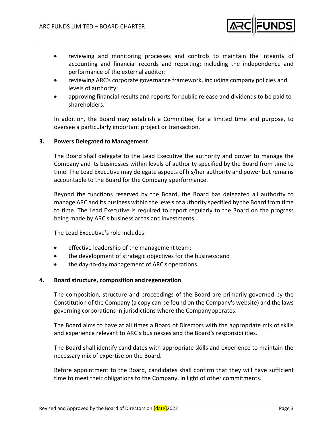

- reviewing and monitoring processes and controls to maintain the integrity of accounting and financial records and reporting; including the independence and performance of the external auditor:
- reviewing ARC's corporate governance framework, including company policies and levels of authority:
- approving financial results and reports for public release and dividends to be paid to shareholders.

In addition, the Board may establish a Committee, for a limited time and purpose, to oversee a particularly important project or transaction.

# **3. Powers Delegated to Management**

The Board shall delegate to the Lead Executive the authority and power to manage the Company and its businesses within levels of authority specified by the Board from time to time. The Lead Executive may delegate aspects of his/her authority and power but remains accountable to the Board for the Company'sperformance.

Beyond the functions reserved by the Board, the Board has delegated all authority to manage ARC and its business within the levels of authority specified by the Board from time to time. The Lead Executive is required to report regularly to the Board on the progress being made by ARC's business areas and investments.

The Lead Executive's role includes:

- effective leadership of the management team;
- the development of strategic objectives for the business; and
- the day-to-day management of ARC's operations.

#### **4. Board structure, composition and regeneration**

The composition, structure and proceedings of the Board are primarily governed by the Constitution of the Company (a copy can be found on the Company's website) and the laws governing corporations in jurisdictions where the Companyoperates.

The Board aims to have at all times a Board of Directors with the appropriate mix of skills and experience relevant to ARC's businesses and the Board's responsibilities.

The Board shall identify candidates with appropriate skills and experience to maintain the necessary mix of expertise on the Board.

Before appointment to the Board, candidates shall confirm that they will have sufficient time to meet their obligations to the Company, in light of other commitments.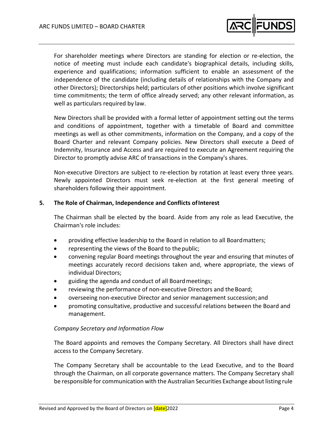

For shareholder meetings where Directors are standing for election or re‐election, the notice of meeting must include each candidate's biographical details, including skills, experience and qualifications; information sufficient to enable an assessment of the independence of the candidate (including details of relationships with the Company and other Directors); Directorships held; particulars of other positions which involve significant time commitments; the term of office already served; any other relevant information, as well as particulars required by law.

New Directors shall be provided with a formal letter of appointment setting out the terms and conditions of appointment, together with a timetable of Board and committee meetings as well as other commitments, information on the Company, and a copy of the Board Charter and relevant Company policies. New Directors shall execute a Deed of Indemnity, Insurance and Access and are required to execute an Agreement requiring the Director to promptly advise ARC of transactions in the Company's shares.

Non-executive Directors are subject to re-election by rotation at least every three years. Newly appointed Directors must seek re‐election at the first general meeting of shareholders following their appointment.

# **5. The Role of Chairman, Independence and Conflicts ofInterest**

The Chairman shall be elected by the board. Aside from any role as lead Executive, the Chairman's role includes:

- providing effective leadership to the Board in relation to all Boardmatters;
- representing the views of the Board to the public;
- convening regular Board meetings throughout the year and ensuring that minutes of meetings accurately record decisions taken and, where appropriate, the views of individual Directors;
- guiding the agenda and conduct of all Boardmeetings;
- reviewing the performance of non-executive Directors and the Board;
- overseeing non‐executive Director and senior management succession;and
- promoting consultative, productive and successful relations between the Board and management.

# *Company Secretary and Information Flow*

The Board appoints and removes the Company Secretary. All Directors shall have direct access to the Company Secretary.

The Company Secretary shall be accountable to the Lead Executive, and to the Board through the Chairman, on all corporate governance matters. The Company Secretary shall be responsible for communication with the Australian Securities Exchange about listing rule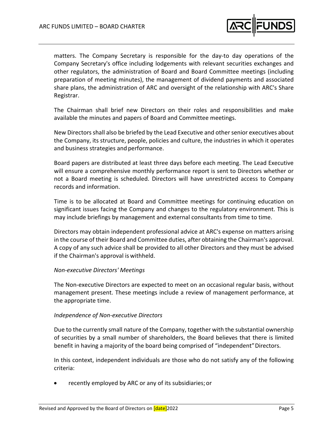

matters. The Company Secretary is responsible for the day‐to day operations of the Company Secretary's office including lodgements with relevant securities exchanges and other regulators, the administration of Board and Board Committee meetings (including preparation of meeting minutes), the management of dividend payments and associated share plans, the administration of ARC and oversight of the relationship with ARC's Share Registrar.

The Chairman shall brief new Directors on their roles and responsibilities and make available the minutes and papers of Board and Committee meetings.

New Directors shall also be briefed by the Lead Executive and other senior executives about the Company, its structure, people, policies and culture, the industries in which it operates and business strategies and performance.

Board papers are distributed at least three days before each meeting. The Lead Executive will ensure a comprehensive monthly performance report is sent to Directors whether or not a Board meeting is scheduled. Directors will have unrestricted access to Company records and information.

Time is to be allocated at Board and Committee meetings for continuing education on significant issues facing the Company and changes to the regulatory environment. This is may include briefings by management and external consultants from time to time.

Directors may obtain independent professional advice at ARC's expense on matters arising in the course of their Board and Committee duties, after obtaining the Chairman's approval. A copy of any such advice shall be provided to all other Directors and they must be advised if the Chairman's approval is withheld.

#### *Non‐executive Directors' Meetings*

The Non-executive Directors are expected to meet on an occasional regular basis, without management present. These meetings include a review of management performance, at the appropriate time.

#### *Independence of Non‐executive Directors*

Due to the currently small nature of the Company, together with the substantial ownership of securities by a small number of shareholders, the Board believes that there is limited benefit in having a majority of the board being comprised of "independent"Directors.

In this context, independent individuals are those who do not satisfy any of the following criteria:

recently employed by ARC or any of its subsidiaries;or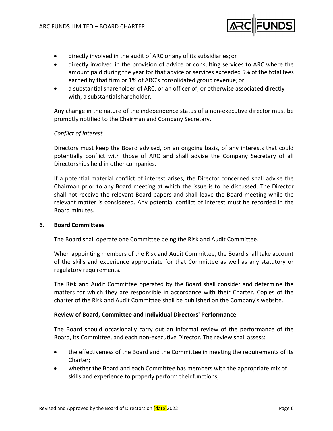

- directly involved in the audit of ARC or any of its subsidiaries;or
- directly involved in the provision of advice or consulting services to ARC where the amount paid during the year for that advice or services exceeded 5% of the total fees earned by that firm or 1% of ARC's consolidated group revenue; or
- a substantial shareholder of ARC, or an officer of, or otherwise associated directly with, a substantial shareholder.

Any change in the nature of the independence status of a non‐executive director must be promptly notified to the Chairman and Company Secretary.

# *Conflict of interest*

Directors must keep the Board advised, on an ongoing basis, of any interests that could potentially conflict with those of ARC and shall advise the Company Secretary of all Directorships held in other companies.

If a potential material conflict of interest arises, the Director concerned shall advise the Chairman prior to any Board meeting at which the issue is to be discussed. The Director shall not receive the relevant Board papers and shall leave the Board meeting while the relevant matter is considered. Any potential conflict of interest must be recorded in the Board minutes.

# **6. Board Committees**

The Board shall operate one Committee being the Risk and Audit Committee.

When appointing members of the Risk and Audit Committee, the Board shall take account of the skills and experience appropriate for that Committee as well as any statutory or regulatory requirements.

The Risk and Audit Committee operated by the Board shall consider and determine the matters for which they are responsible in accordance with their Charter. Copies of the charter of the Risk and Audit Committee shall be published on the Company's website.

# **Review of Board, Committee and Individual Directors' Performance**

The Board should occasionally carry out an informal review of the performance of the Board, its Committee, and each non‐executive Director. The review shall assess:

- the effectiveness of the Board and the Committee in meeting the requirements of its Charter;
- whether the Board and each Committee has members with the appropriate mix of skills and experience to properly perform their functions;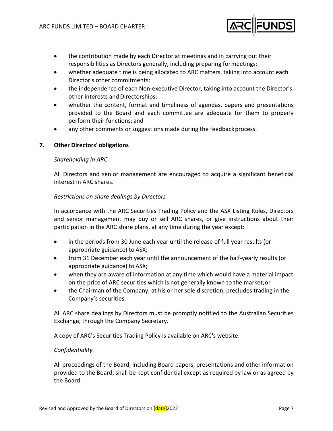

- the contribution made by each Director at meetings and in carrying out their responsibilities as Directors generally, including preparing formeetings;
- whether adequate time is being allocated to ARC matters, taking into account each Director's other commitments;
- the independence of each Non‐executive Director, taking into account the Director's other interests and Directorships;
- whether the content, format and timeliness of agendas, papers and presentations provided to the Board and each committee are adequate for them to properly perform their functions; and
- any other comments or suggestions made during the feedback process.

# **7. Other Directors' obligations**

#### *Shareholding in ARC*

All Directors and senior management are encouraged to acquire a significant beneficial interest in ARC shares.

# *Restrictions on share dealings by Directors*

In accordance with the ARC Securities Trading Policy and the ASX Listing Rules, Directors and senior management may buy or sell ARC shares, or give instructions about their participation in the ARC share plans, at any time during the year except:

- in the periods from 30 June each year until the release of full year results (or appropriate guidance) to ASX;
- from 31 December each year until the announcement of the half‐yearly results (or appropriate guidance) to ASX;
- when they are aware of information at any time which would have a material impact on the price of ARC securities which is not generally known to the market;or
- the Chairman of the Company, at his or her sole discretion, precludes trading in the Company's securities.

All ARC share dealings by Directors must be promptly notified to the Australian Securities Exchange, through the Company Secretary.

A copy of ARC's Securities Trading Policy is available on ARC's website.

# *Confidentiality*

All proceedings of the Board, including Board papers, presentations and other information provided to the Board, shall be kept confidential except as required by law or as agreed by the Board.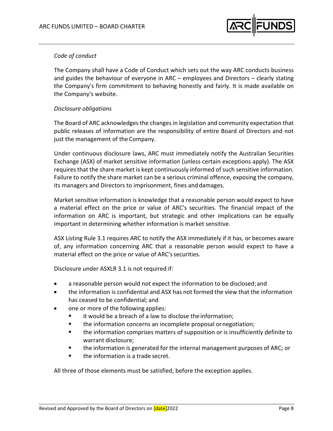

# *Code of conduct*

The Company shall have a Code of Conduct which sets out the way ARC conducts business and guides the behaviour of everyone in ARC – employees and Directors – clearly stating the Company's firm commitment to behaving honestly and fairly. It is made available on the Company's website.

# *Disclosure obligations*

The Board of ARC acknowledges the changes in legislation and community expectation that public releases of information are the responsibility of entire Board of Directors and not just the management of the Company.

Under continuous disclosure laws, ARC must immediately notify the Australian Securities Exchange (ASX) of market sensitive information (unless certain exceptions apply). The ASX requires that the share market is kept continuously informed of such sensitive information. Failure to notify the share market can be a serious criminal offence, exposing the company, its managers and Directors to imprisonment, fines and damages.

Market sensitive information is knowledge that a reasonable person would expect to have a material effect on the price or value of ARC's securities. The financial impact of the information on ARC is important, but strategic and other implications can be equally important in determining whether information is market sensitive.

ASX Listing Rule 3.1 requires ARC to notify the ASX immediately if it has, or becomes aware of, any information concerning ARC that a reasonable person would expect to have a material effect on the price or value of ARC's securities.

Disclosure under ASXLR 3.1 is not required if:

- a reasonable person would not expect the information to be disclosed; and
- the information is confidential and ASX has not formed the view that the information has ceased to be confidential; and
- one or more of the following applies:
	- it would be a breach of a law to disclose the information;
	- **the information concerns an incomplete proposal or negotiation;**
	- **the information comprises matters of supposition or is insufficiently definite to** warrant disclosure;
	- the information is generated for the internal management purposes of ARC; or
	- **the information is a trade secret.**

All three of those elements must be satisfied, before the exception applies.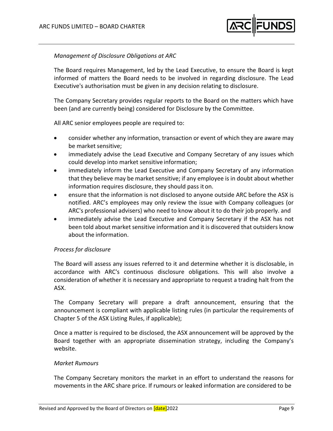

# *Management of Disclosure Obligations at ARC*

The Board requires Management, led by the Lead Executive, to ensure the Board is kept informed of matters the Board needs to be involved in regarding disclosure. The Lead Executive's authorisation must be given in any decision relating to disclosure.

The Company Secretary provides regular reports to the Board on the matters which have been (and are currently being) considered for Disclosure by the Committee.

All ARC senior employees people are required to:

- consider whether any information, transaction or event of which they are aware may be market sensitive;
- immediately advise the Lead Executive and Company Secretary of any issues which could develop into market sensitive information;
- immediately inform the Lead Executive and Company Secretary of any information that they believe may be market sensitive; if any employee is in doubt about whether information requires disclosure, they should pass it on.
- ensure that the information is not disclosed to anyone outside ARC before the ASX is notified. ARC's employees may only review the issue with Company colleagues (or ARC's professional advisers) who need to know about it to do their job properly. and
- immediately advise the Lead Executive and Company Secretary if the ASX has not been told about market sensitive information and it is discovered that outsiders know about the information.

# *Process for disclosure*

The Board will assess any issues referred to it and determine whether it is disclosable, in accordance with ARC's continuous disclosure obligations. This will also involve a consideration of whether it is necessary and appropriate to request a trading halt from the ASX.

The Company Secretary will prepare a draft announcement, ensuring that the announcement is compliant with applicable listing rules (in particular the requirements of Chapter 5 of the ASX Listing Rules, if applicable);

Once a matter is required to be disclosed, the ASX announcement will be approved by the Board together with an appropriate dissemination strategy, including the Company's website.

#### *Market Rumours*

The Company Secretary monitors the market in an effort to understand the reasons for movements in the ARC share price. If rumours or leaked information are considered to be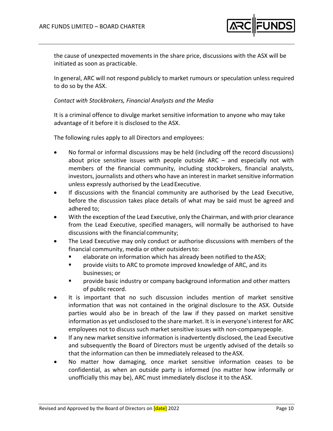

the cause of unexpected movements in the share price, discussions with the ASX will be initiated as soon as practicable.

In general, ARC will not respond publicly to market rumours or speculation unless required to do so by the ASX.

# *Contact with Stockbrokers, Financial Analysts and the Media*

It is a criminal offence to divulge market sensitive information to anyone who may take advantage of it before it is disclosed to the ASX.

The following rules apply to all Directors and employees:

- No formal or informal discussions may be held (including off the record discussions) about price sensitive issues with people outside ARC – and especially not with members of the financial community, including stockbrokers, financial analysts, investors, journalists and others who have an interest in market sensitive information unless expressly authorised by the LeadExecutive.
- If discussions with the financial community are authorised by the Lead Executive, before the discussion takes place details of what may be said must be agreed and adhered to;
- With the exception of the Lead Executive, only the Chairman, and with prior clearance from the Lead Executive, specified managers, will normally be authorised to have discussions with the financial community;
- The Lead Executive may only conduct or authorise discussions with members of the financial community, media or other outsidersto:
	- elaborate on information which has already been notified to the ASX;
	- **Part Consolensiats on ARC to promote improved knowledge of ARC, and its** businesses; or
	- **Part of the basic industry or company background information and other matters** of public record.
- It is important that no such discussion includes mention of market sensitive information that was not contained in the original disclosure to the ASX. Outside parties would also be in breach of the law if they passed on market sensitive information as yet undisclosed to the share market. It is in everyone's interest for ARC employees not to discuss such market sensitive issues with non‐companypeople.
- If any new market sensitive information is inadvertently disclosed, the Lead Executive and subsequently the Board of Directors must be urgently advised of the details so that the information can then be immediately released to theASX.
- No matter how damaging, once market sensitive information ceases to be confidential, as when an outside party is informed (no matter how informally or unofficially this may be), ARC must immediately disclose it to theASX.